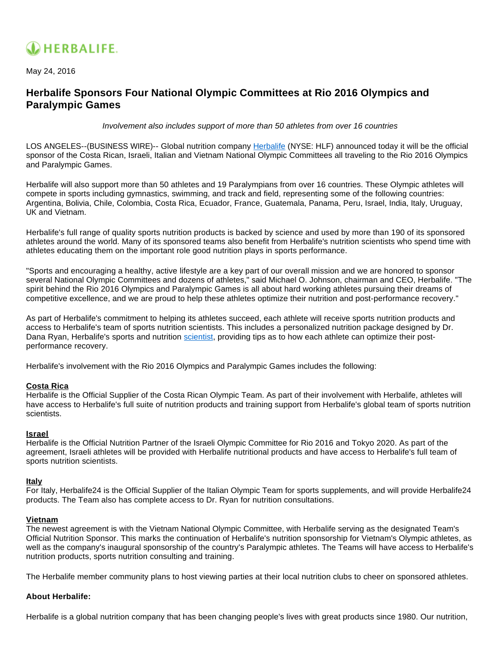

May 24, 2016

# **Herbalife Sponsors Four National Olympic Committees at Rio 2016 Olympics and Paralympic Games**

Involvement also includes support of more than 50 athletes from over 16 countries

LOS ANGELES--(BUSINESS WIRE)-- Global nutrition company [Herbalife](http://cts.businesswire.com/ct/CT?id=smartlink&url=http%3A%2F%2Fwww.iamherbalife.com&esheet=51348492&newsitemid=20160524005595&lan=en-US&anchor=Herbalife&index=1&md5=79ce04b31e1331572af98bb5575ebffc) (NYSE: HLF) announced today it will be the official sponsor of the Costa Rican, Israeli, Italian and Vietnam National Olympic Committees all traveling to the Rio 2016 Olympics and Paralympic Games.

Herbalife will also support more than 50 athletes and 19 Paralympians from over 16 countries. These Olympic athletes will compete in sports including gymnastics, swimming, and track and field, representing some of the following countries: Argentina, Bolivia, Chile, Colombia, Costa Rica, Ecuador, France, Guatemala, Panama, Peru, Israel, India, Italy, Uruguay, UK and Vietnam.

Herbalife's full range of quality sports nutrition products is backed by science and used by more than 190 of its sponsored athletes around the world. Many of its sponsored teams also benefit from Herbalife's nutrition scientists who spend time with athletes educating them on the important role good nutrition plays in sports performance.

"Sports and encouraging a healthy, active lifestyle are a key part of our overall mission and we are honored to sponsor several National Olympic Committees and dozens of athletes," said Michael O. Johnson, chairman and CEO, Herbalife. "The spirit behind the Rio 2016 Olympics and Paralympic Games is all about hard working athletes pursuing their dreams of competitive excellence, and we are proud to help these athletes optimize their nutrition and post-performance recovery."

As part of Herbalife's commitment to helping its athletes succeed, each athlete will receive sports nutrition products and access to Herbalife's team of sports nutrition scientists. This includes a personalized nutrition package designed by Dr. Dana Ryan, Herbalife's sports and nutrition [scientist](http://cts.businesswire.com/ct/CT?id=smartlink&url=http%3A%2F%2Fwww.herbalifespotlight.com%2F2015%2F11%2Fherbalife24-cr7-drive%2F%23more-1503&esheet=51348492&newsitemid=20160524005595&lan=en-US&anchor=scientist&index=2&md5=c842780d1a1406d3da26053e6d7c3f3a), providing tips as to how each athlete can optimize their postperformance recovery.

Herbalife's involvement with the Rio 2016 Olympics and Paralympic Games includes the following:

# **Costa Rica**

Herbalife is the Official Supplier of the Costa Rican Olympic Team. As part of their involvement with Herbalife, athletes will have access to Herbalife's full suite of nutrition products and training support from Herbalife's global team of sports nutrition scientists.

# **Israel**

Herbalife is the Official Nutrition Partner of the Israeli Olympic Committee for Rio 2016 and Tokyo 2020. As part of the agreement, Israeli athletes will be provided with Herbalife nutritional products and have access to Herbalife's full team of sports nutrition scientists.

# **Italy**

For Italy, Herbalife24 is the Official Supplier of the Italian Olympic Team for sports supplements, and will provide Herbalife24 products. The Team also has complete access to Dr. Ryan for nutrition consultations.

# **Vietnam**

The newest agreement is with the Vietnam National Olympic Committee, with Herbalife serving as the designated Team's Official Nutrition Sponsor. This marks the continuation of Herbalife's nutrition sponsorship for Vietnam's Olympic athletes, as well as the company's inaugural sponsorship of the country's Paralympic athletes. The Teams will have access to Herbalife's nutrition products, sports nutrition consulting and training.

The Herbalife member community plans to host viewing parties at their local nutrition clubs to cheer on sponsored athletes.

# **About Herbalife:**

Herbalife is a global nutrition company that has been changing people's lives with great products since 1980. Our nutrition,